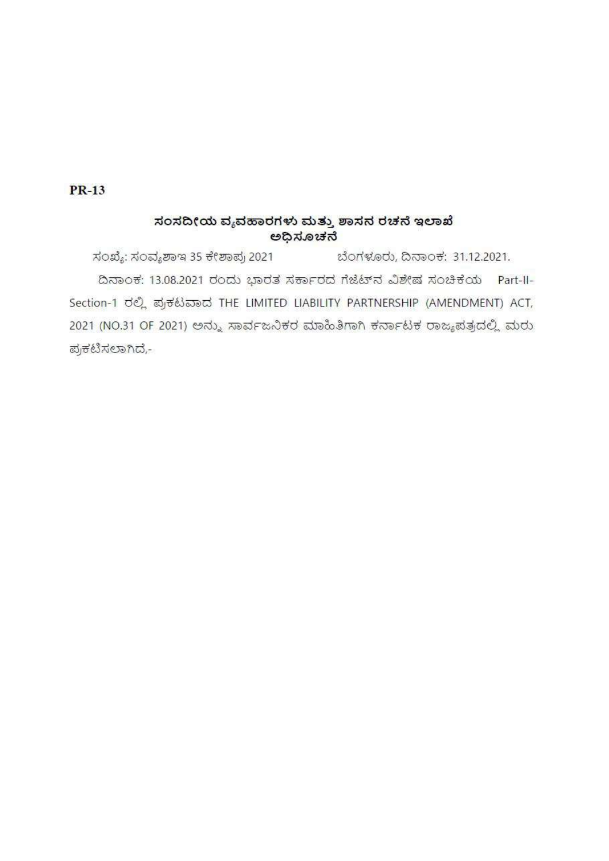$PR-13$ 

# ಸಂಸದೀಯ ವ್ಯವಹಾರಗಳು ಮತ್ತು ಶಾಸನ ರಚನೆ ಇಲಾಖೆ ಅಧಿಸೂಚನೆ

ಸಂಖ್ಯೆ: ಸಂವ್ಯಶಾಇ 35 ಕೇಶಾಪ್ರ 2021 ಬೆಂಗಳೂರು, ದಿನಾಂಕ: 31.12.2021. ದಿನಾಂಕ: 13.08.2021 ರಂದು ಭಾರತ ಸರ್ಕಾರದ ಗೆಜೆಟ್ ನ ವಿಶೇಷ ಸಂಚಿಕೆಯ Part-II-Section-1 ರಲ್ಲಿ ಪ್ರಕಟವಾದ THE LIMITED LIABILITY PARTNERSHIP (AMENDMENT) ACT, 2021 (NO.31 OF 2021) ಅನ್ನು ಸಾರ್ವಜನಿಕರ ಮಾಹಿತಿಗಾಗಿ ಕರ್ನಾಟಕ ರಾಜ್ಯಪತ್ರದಲ್ಲಿ ಮರು ಪ್ರಕಟಿಸಲಾಗಿದೆ,-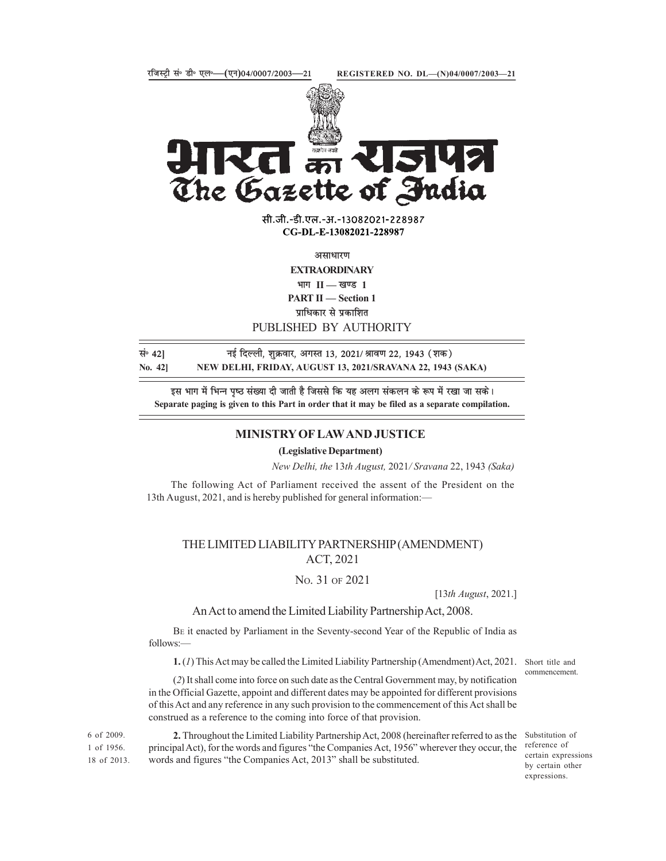

The Gazette of Andia<br>  $\frac{1}{2}$  and  $\frac{1}{2}$  and  $\frac{1}{2}$  and  $\frac{1}{2}$ <br>  $\frac{1}{2}$  and  $\frac{1}{2}$ <br>  $\frac{1}{2}$  and  $\frac{1}{2}$ <br>  $\frac{1}{2}$  and  $\frac{1}{2}$ <br>  $\frac{1}{2}$  and  $\frac{1}{2}$ <br>  $\frac{1}{2}$  and  $\frac{1}{2}$ <br>  $\frac{1}{2}$  and  $\frac{1}{2$ 

सी.जी.-डी.एल.-अ.-13082021-228987 CG-DL-E-13082021-228987

असाधारण

**EXTRAORDINARY** भाग $II$   $=$  खण्ड 1

**PART II** - Section 1

प्राधिकार से प्रकाशित

PUBLISHED BY AUTHORITY

सं॰ 42] बुर्हिल्ली, शुक्रवार, अगस्त 13, 2021/ श्रावण 22, 1943 (शक)

इस भाग में भिन्न पृष्ठ संख्या दी जाती है जिससे कि यह अलग संकलन के रूप में रखा जा सके। Separate paging is given to this Part in order that it may be filed as a separate compilation.

### MINISTRY OF LAW AND JUSTICE

(Legislative Department)

New Delhi, the 13th August, 2021/ Sravana 22, 1943 (Saka)

The following Act of Parliament received the assent of the President on the 13th August, 2021, and is hereby published for general information:

## THE LIMITED LIABILITY PARTNERSHIP (AMENDMENT) ACT, 2021

### NO. 31 OF 2021

[13th August, 2021.]

#### An Act to amend the Limited Liability Partnership Act, 2008.

BE it enacted by Parliament in the Seventy-second Year of the Republic of India as follows:—

1. (1) This Act may be called the Limited Liability Partnership (Amendment) Act, 2021. Short title and

(2) It shall come into force on such date as the Central Government may, by notification in the Official Gazette, appoint and different dates may be appointed for different provisions of this Act and any reference in any such provision to the commencement of this Act shall be construed as a reference to the coming into force of that provision.

2. Throughout the Limited Liability Partnership Act, 2008 (hereinafter referred to as the 6 of 2009. 1 of 1956. principal Act), for the words and figures "the Companies Act, 1956" wherever they occur, the <sup>reterence</sup> of 18 of 2013. words and figures "the Companies Act, 2013" shall be substituted.

commencement.

Substitution of reference of certain expressions by certain other expressions.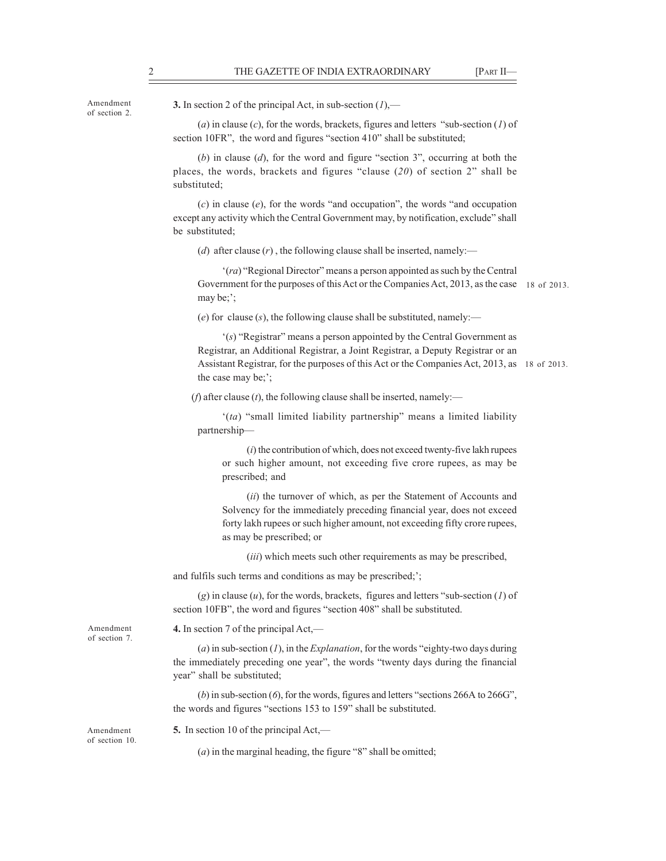of section 2.

Amendment 3. In section 2 of the principal Act, in sub-section  $(1)$ ,—

2<br>
THE GAZETTE OF INDIA EXTRAORDINARY [PART II—<br>
3. In section 2 of the principal Act, in sub-section  $(I)$ ,—<br>
(*a*) in clause (*c*), for the words, brackets, figures and letters "sub-section (*I*) of section 10FR", the wo (a) in clause (c), for the words, brackets, figures and letters "sub-section (1) of section 10FR", the word and figures "section 410" shall be substituted;

(b) in clause  $(d)$ , for the word and figure "section 3", occurring at both the places, the words, brackets and figures "clause  $(20)$  of section 2" shall be substituted;

 $(c)$  in clause  $(e)$ , for the words "and occupation", the words "and occupation" except any activity which the Central Government may, by notification, exclude" shall be substituted;

(d) after clause  $(r)$ , the following clause shall be inserted, namely:—

 $r_{\text{real}}$  (ra) "Regional Director" means a person appointed as such by the Central Government for the purposes of this Act or the Companies Act, 2013, as the case 18 of 2013.may be;";

(e) for clause  $(s)$ , the following clause shall be substituted, namely:—

 $'(s)$  "Registrar" means a person appointed by the Central Government as Registrar, an Additional Registrar, a Joint Registrar, a Deputy Registrar or an Assistant Registrar, for the purposes of this Act or the Companies Act, 2013, as 18 of 2013. the case may be;';

(*f*) after clause (*t*), the following clause shall be inserted, namely:—

 $'(ta)$  "small limited liability partnership" means a limited liability partnership

 $(i)$  the contribution of which, does not exceed twenty-five lakh rupees or such higher amount, not exceeding five crore rupees, as may be prescribed; and

(ii) the turnover of which, as per the Statement of Accounts and Solvency for the immediately preceding financial year, does not exceed forty lakh rupees or such higher amount, not exceeding fifty crore rupees, as may be prescribed; or

(iii) which meets such other requirements as may be prescribed,

and fulfils such terms and conditions as may be prescribed;';

(g) in clause  $(u)$ , for the words, brackets, figures and letters "sub-section  $(I)$  of section 10FB", the word and figures "section 408" shall be substituted.

Amendment **4.** In section 7 of the principal Act,—

(a) in sub-section  $(I)$ , in the *Explanation*, for the words "eighty-two days during the immediately preceding one year", the words "twenty days during the financial year" shall be substituted;

(b) in sub-section (6), for the words, figures and letters "sections 266A to 266G", the words and figures "sections 153 to 159" shall be substituted.

of section 10.

of section 7.

Amendment 5. In section 10 of the principal Act,—

 $(a)$  in the marginal heading, the figure "8" shall be omitted;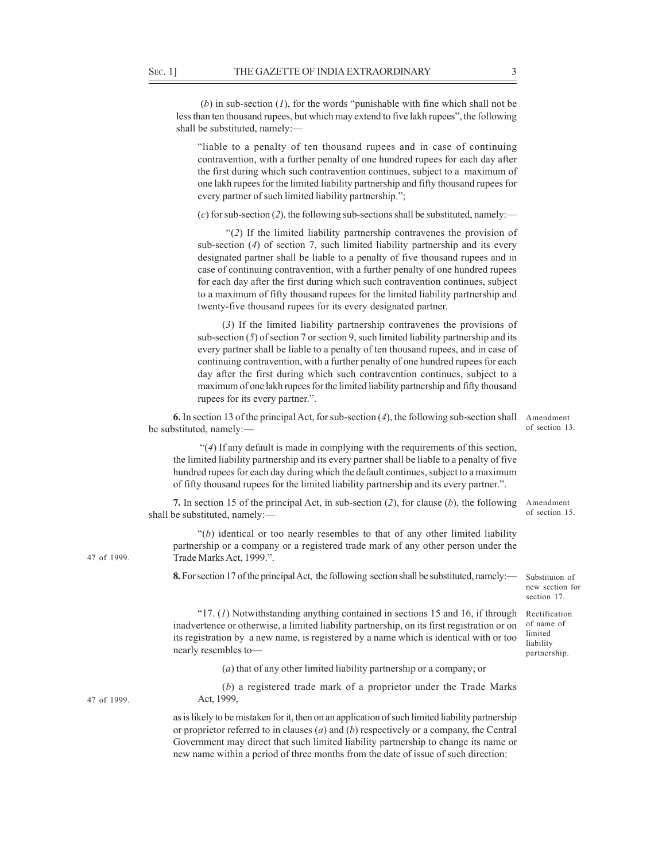SEC. 1] THE GAZETTE OF INDIA EXTRAORDINARY 3<br>
(b) in sub-section (1), for the words "punishable with fine which shall not be less than ten thousand rupees, but which may extend to five lakh rupees", the following shall be (b) in sub-section  $(1)$ , for the words "punishable with fine which shall not be less than ten thousand rupees, but which may extend to five lakh rupees", the following shall be substituted, namely:

liable to a penalty of ten thousand rupees and in case of continuing contravention, with a further penalty of one hundred rupees for each day after the first during which such contravention continues, subject to a maximum of one lakh rupees for the limited liability partnership and fifty thousand rupees for every partner of such limited liability partnership.";

(c) for sub-section (2), the following sub-sections shall be substituted, namely:—

 (2) If the limited liability partnership contravenes the provision of sub-section (4) of section 7, such limited liability partnership and its every designated partner shall be liable to a penalty of five thousand rupees and in case of continuing contravention, with a further penalty of one hundred rupees for each day after the first during which such contravention continues, subject to a maximum of fifty thousand rupees for the limited liability partnership and twenty-five thousand rupees for its every designated partner.

(3) If the limited liability partnership contravenes the provisions of sub-section (5) of section 7 or section 9, such limited liability partnership and its every partner shall be liable to a penalty of ten thousand rupees, and in case of continuing contravention, with a further penalty of one hundred rupees for each day after the first during which such contravention continues, subject to a maximum of one lakh rupees for the limited liability partnership and fifty thousand rupees for its every partner.".

**6.** In section 13 of the principal Act, for sub-section  $(4)$ , the following sub-section shall Amendment be substituted, namely:

of section 13.

of section 15.

Substituion of new section for section 17.

of name of limited liability partnership.

 $\mathcal{L}(4)$  If any default is made in complying with the requirements of this section, the limited liability partnership and its every partner shall be liable to a penalty of five hundred rupees for each day during which the default continues, subject to a maximum of fifty thousand rupees for the limited liability partnership and its every partner..

7. In section 15 of the principal Act, in sub-section (2), for clause (b), the following Amendment shall be substituted, namely:

 $'(b)$  identical or too nearly resembles to that of any other limited liability partnership or a company or a registered trade mark of any other person under the 47 of 1999. Trade Marks Act, 1999.".

8. For section 17 of the principal Act, the following section shall be substituted, namely:

 $17. (I)$  Notwithstanding anything contained in sections 15 and 16, if through Rectification inadvertence or otherwise, a limited liability partnership, on its first registration or on its registration by a new name, is registered by a name which is identical with or too nearly resembles to

(a) that of any other limited liability partnership or a company; or

(b) a registered trade mark of a proprietor under the Trade Marks Act, 1999,

as is likely to be mistaken for it, then on an application of such limited liability partnership or proprietor referred to in clauses  $(a)$  and  $(b)$  respectively or a company, the Central Government may direct that such limited liability partnership to change its name or new name within a period of three months from the date of issue of such direction:

47 of 1999.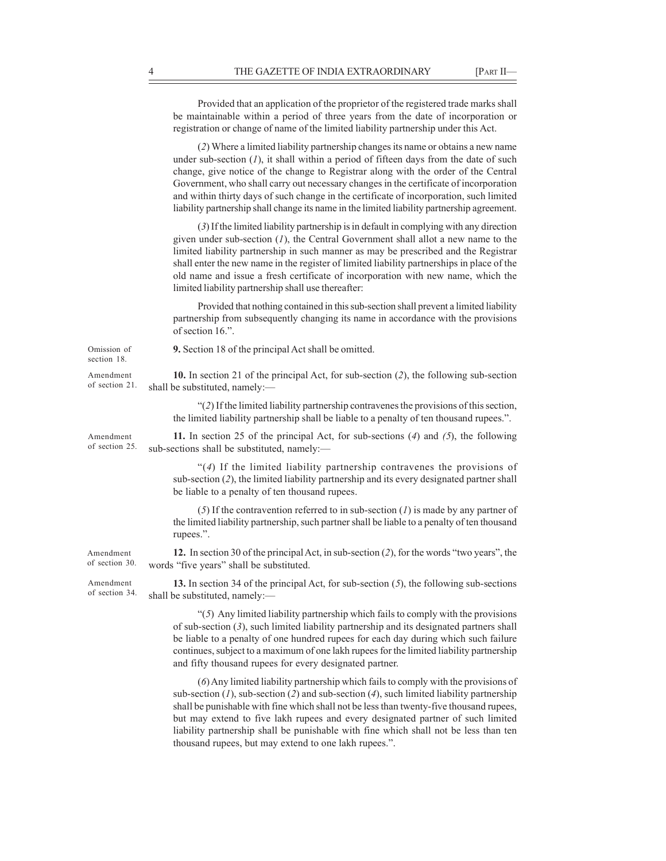|                             | THE GAZETTE OF INDIA EXTRAORDINARY                                                                                                                                                                                                                                                                                                                                                                                                                                                                                                                    | [PART II- |
|-----------------------------|-------------------------------------------------------------------------------------------------------------------------------------------------------------------------------------------------------------------------------------------------------------------------------------------------------------------------------------------------------------------------------------------------------------------------------------------------------------------------------------------------------------------------------------------------------|-----------|
|                             | Provided that an application of the proprietor of the registered trade marks shall<br>be maintainable within a period of three years from the date of incorporation or<br>registration or change of name of the limited liability partnership under this Act.                                                                                                                                                                                                                                                                                         |           |
|                             | (2) Where a limited liability partnership changes its name or obtains a new name<br>under sub-section $(I)$ , it shall within a period of fifteen days from the date of such<br>change, give notice of the change to Registrar along with the order of the Central<br>Government, who shall carry out necessary changes in the certificate of incorporation<br>and within thirty days of such change in the certificate of incorporation, such limited<br>liability partnership shall change its name in the limited liability partnership agreement. |           |
|                             | (3) If the limited liability partnership is in default in complying with any direction<br>given under sub-section $(I)$ , the Central Government shall allot a new name to the<br>limited liability partnership in such manner as may be prescribed and the Registrar<br>shall enter the new name in the register of limited liability partnerships in place of the<br>old name and issue a fresh certificate of incorporation with new name, which the<br>limited liability partnership shall use thereafter:                                        |           |
|                             | Provided that nothing contained in this sub-section shall prevent a limited liability<br>partnership from subsequently changing its name in accordance with the provisions<br>of section 16.".                                                                                                                                                                                                                                                                                                                                                        |           |
| Omission of<br>section 18.  | 9. Section 18 of the principal Act shall be omitted.                                                                                                                                                                                                                                                                                                                                                                                                                                                                                                  |           |
| Amendment<br>of section 21. | 10. In section 21 of the principal Act, for sub-section $(2)$ , the following sub-section<br>shall be substituted, namely:-                                                                                                                                                                                                                                                                                                                                                                                                                           |           |
|                             | $\lq(2)$ If the limited liability partnership contravenes the provisions of this section,<br>the limited liability partnership shall be liable to a penalty of ten thousand rupees.".                                                                                                                                                                                                                                                                                                                                                                 |           |
| Amendment<br>of section 25. | 11. In section 25 of the principal Act, for sub-sections $(4)$ and $(5)$ , the following<br>sub-sections shall be substituted, namely:-                                                                                                                                                                                                                                                                                                                                                                                                               |           |
|                             | " $(4)$ If the limited liability partnership contravenes the provisions of<br>sub-section (2), the limited liability partnership and its every designated partner shall<br>be liable to a penalty of ten thousand rupees.                                                                                                                                                                                                                                                                                                                             |           |
|                             | (5) If the contravention referred to in sub-section $(I)$ is made by any partner of<br>the limited liability partnership, such partner shall be liable to a penalty of ten thousand<br>rupees.".                                                                                                                                                                                                                                                                                                                                                      |           |
| Amendment<br>of section 30. | 12. In section 30 of the principal Act, in sub-section (2), for the words "two years", the<br>words "five years" shall be substituted.                                                                                                                                                                                                                                                                                                                                                                                                                |           |
| Amendment<br>of section 34. | 13. In section 34 of the principal Act, for sub-section (5), the following sub-sections<br>shall be substituted, namely:-                                                                                                                                                                                                                                                                                                                                                                                                                             |           |
|                             | " $(5)$ Any limited liability partnership which fails to comply with the provisions<br>of sub-section $(3)$ , such limited liability partnership and its designated partners shall<br>be liable to a penalty of one hundred rupees for each day during which such failure<br>continues, subject to a maximum of one lakh rupees for the limited liability partnership<br>and fifty thousand rupees for every designated partner.                                                                                                                      |           |
|                             | (6) Any limited liability partnership which fails to comply with the provisions of<br>sub-section $(I)$ , sub-section $(2)$ and sub-section $(4)$ , such limited liability partnership                                                                                                                                                                                                                                                                                                                                                                |           |

sub-section  $(1)$ , sub-section  $(2)$  and sub-section  $(4)$ , such limited liability partnership shall be punishable with fine which shall not be less than twenty-five thousand rupees, but may extend to five lakh rupees and every designated partner of such limited liability partnership shall be punishable with fine which shall not be less than ten thousand rupees, but may extend to one lakh rupees.".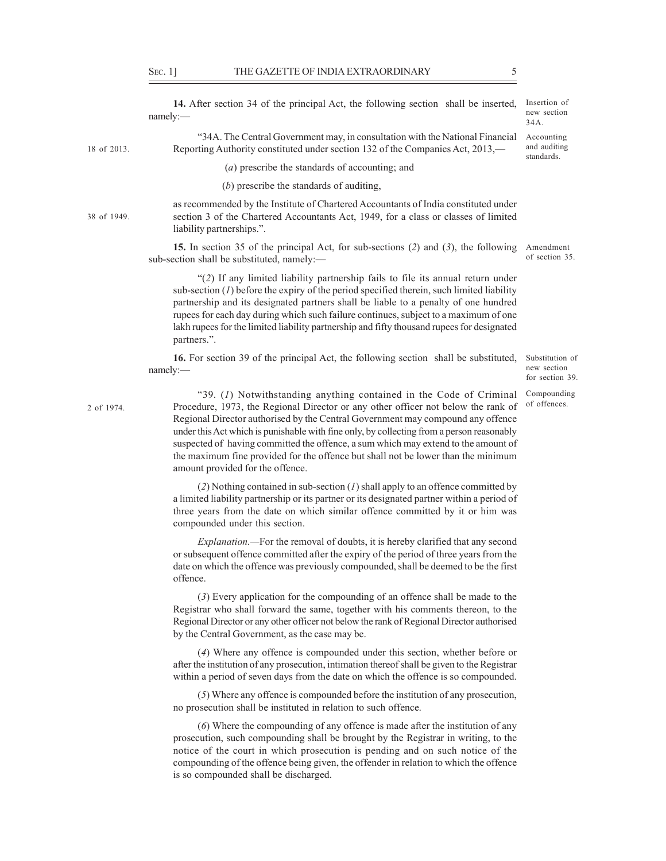SEC. 1] THE GAZETTE OF INDIA EXTRAORDINARY 5<br>
14. After section 34 of the principal Act, the following section shall be inserted, Insertion of<br>
14. After section 34 of the principal Act, the following section shall be inse 14. After section 34 of the principal Act, the following section shall be inserted, namely:— and the contract of the contract of the contract of the contract of the contract of the contract of the contract of the contract of the contract of the contract of the contract of the contract of the contract of t 34A. The Central Government may, in consultation with the National Financial 18 of 2013. Reporting Authority constituted under section 132 of the Companies Act, 2013,— and auditing (a) prescribe the standards of accounting; and (b) prescribe the standards of auditing, as recommended by the Institute of Chartered Accountants of India constituted under section 3 of the Chartered Accountants Act, 1949, for a class or classes of limited 38 of 1949. liability partnerships.". 15. In section 35 of the principal Act, for sub-sections (2) and (3), the following Amendment sub-section shall be substituted, namely: (2) If any limited liability partnership fails to file its annual return under sub-section  $(I)$  before the expiry of the period specified therein, such limited liability partnership and its designated partners shall be liable to a penalty of one hundred rupees for each day during which such failure continues, subject to a maximum of one lakh rupees for the limited liability partnership and fifty thousand rupees for designated partners.". 16. For section 39 of the principal Act, the following section shall be substituted, namely:— settled a set of the set of the set of the set of the set of the set of the set of the set of the set of the set of the set of the set of the set of the set of the set of the set of the set of the set of the set o 39. (1) Notwithstanding anything contained in the Code of Criminal Compounding 2 of 1974. Procedure, 1973, the Regional Director or any other officer not below the rank of <sup>of offences</sup>. Regional Director authorised by the Central Government may compound any offence under this Act which is punishable with fine only, by collecting from a person reasonably suspected of having committed the offence, a sum which may extend to the amount of the maximum fine provided for the offence but shall not be lower than the minimum amount provided for the offence. (2) Nothing contained in sub-section  $(I)$  shall apply to an offence committed by a limited liability partnership or its partner or its designated partner within a period of three years from the date on which similar offence committed by it or him was compounded under this section. Explanation.—For the removal of doubts, it is hereby clarified that any second or subsequent offence committed after the expiry of the period of three years from the date on which the offence was previously compounded, shall be deemed to be the first offence. (3) Every application for the compounding of an offence shall be made to the Registrar who shall forward the same, together with his comments thereon, to the Regional Director or any other officer not below the rank of Regional Director authorised by the Central Government, as the case may be. (4) Where any offence is compounded under this section, whether before or after the institution of any prosecution, intimation thereof shall be given to the Registrar within a period of seven days from the date on which the offence is so compounded. (5) Where any offence is compounded before the institution of any prosecution, no prosecution shall be instituted in relation to such offence. (6) Where the compounding of any offence is made after the institution of any prosecution, such compounding shall be brought by the Registrar in writing, to the Insertion of new section 34A. Accounting and auditing standards. Substitution of

notice of the court in which prosecution is pending and on such notice of the compounding of the offence being given, the offender in relation to which the offence is so compounded shall be discharged.

of section 35.

new section for section 39.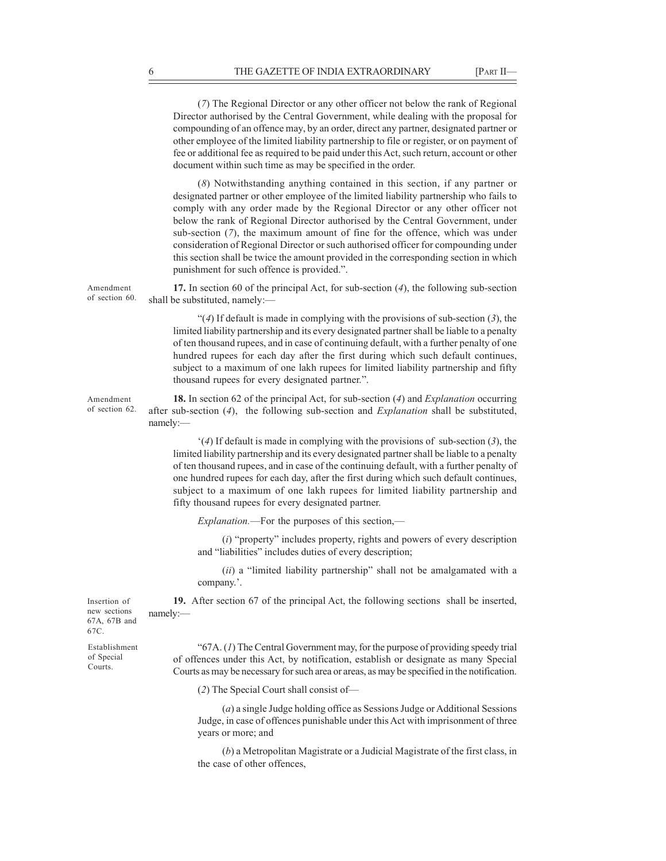THE GAZETTE OF INDIA EXTRAORDINARY [PART II—<br>
(7) The Regional Director or any other officer not below the rank of Regional<br>
Director authorised by the Central Government, while dealing with the proposal for<br>
compounding o (7) The Regional Director or any other officer not below the rank of Regional Director authorised by the Central Government, while dealing with the proposal for compounding of an offence may, by an order, direct any partner, designated partner or other employee of the limited liability partnership to file or register, or on payment of fee or additional fee as required to be paid under this Act, such return, account or other document within such time as may be specified in the order.

(8) Notwithstanding anything contained in this section, if any partner or designated partner or other employee of the limited liability partnership who fails to comply with any order made by the Regional Director or any other officer not below the rank of Regional Director authorised by the Central Government, under sub-section (7), the maximum amount of fine for the offence, which was under consideration of Regional Director or such authorised officer for compounding under this section shall be twice the amount provided in the corresponding section in which punishment for such offence is provided.".

Amendment 17. In section 60 of the principal Act, for sub-section (4), the following sub-section of section 60. shall be substituted, namely:—

> $(4)$  If default is made in complying with the provisions of sub-section  $(3)$ , the limited liability partnership and its every designated partner shall be liable to a penalty of ten thousand rupees, and in case of continuing default, with a further penalty of one hundred rupees for each day after the first during which such default continues, subject to a maximum of one lakh rupees for limited liability partnership and fifty thousand rupees for every designated partner.".

Amendment **18.** In section 62 of the principal Act, for sub-section (4) and *Explanation* occurring of section 62. after sub-section (4), the following sub-section and *Explanation* shall be substituted, namely:— example of the state of the state of the state of the state of the state of the state of the state of the state of the state of the state of the state of the state of the state of the state of the state of the sta

> $(4)$  If default is made in complying with the provisions of sub-section (3), the limited liability partnership and its every designated partner shall be liable to a penalty of ten thousand rupees, and in case of the continuing default, with a further penalty of one hundred rupees for each day, after the first during which such default continues, subject to a maximum of one lakh rupees for limited liability partnership and fifty thousand rupees for every designated partner.

Explanation.—For the purposes of this section,—

 $(i)$  "property" includes property, rights and powers of every description and "liabilities" includes duties of every description;

 $(ii)$  a "limited liability partnership" shall not be amalgamated with a company.'.

19. After section 67 of the principal Act, the following sections shall be inserted, Insertion of namely:— example that the contract of the contract of the contract of the contract of the contract of the contract of the contract of the contract of the contract of the contract of the contract of the contract of the cont new sections namely:-

Establishment Courts.

67A, 67B and 67C.

" $67A$ . (1) The Central Government may, for the purpose of providing speedy trial of offences under this Act, by notification, establish or designate as many Special of Special Courts as may be necessary for such area or areas, as may be specified in the notification.

(2) The Special Court shall consist of

(a) a single Judge holding office as Sessions Judge or Additional Sessions Judge, in case of offences punishable under this Act with imprisonment of three years or more; and

(b) a Metropolitan Magistrate or a Judicial Magistrate of the first class, in the case of other offences,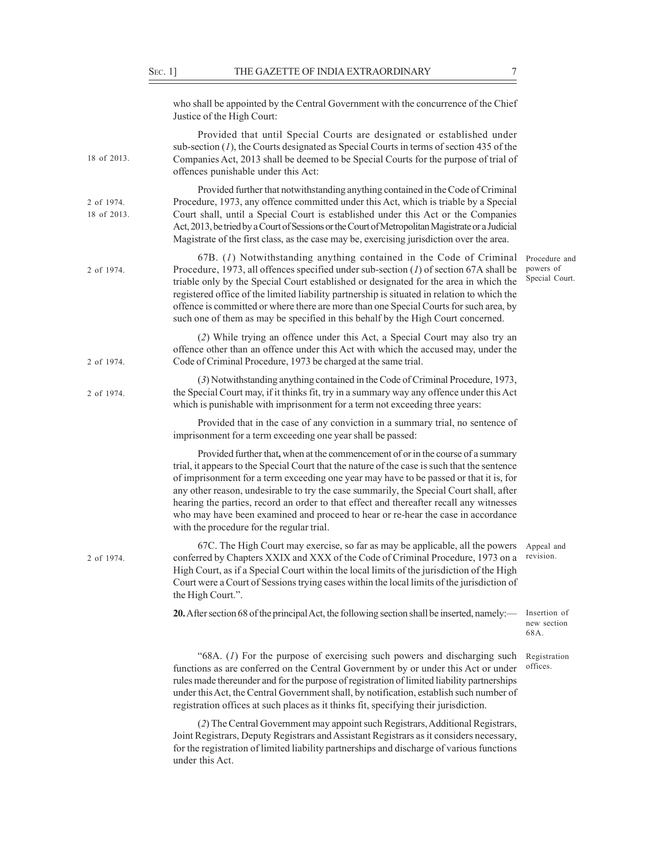| Sec. 1] | THE GAZETTE OF INDIA EXTRAORDINARY                                                                                                                                                                                                                                                                                                                                                                                                                                                                                                                                                                |                                              |
|---------|---------------------------------------------------------------------------------------------------------------------------------------------------------------------------------------------------------------------------------------------------------------------------------------------------------------------------------------------------------------------------------------------------------------------------------------------------------------------------------------------------------------------------------------------------------------------------------------------------|----------------------------------------------|
|         | who shall be appointed by the Central Government with the concurrence of the Chief<br>Justice of the High Court:                                                                                                                                                                                                                                                                                                                                                                                                                                                                                  |                                              |
|         | Provided that until Special Courts are designated or established under<br>sub-section $(I)$ , the Courts designated as Special Courts in terms of section 435 of the<br>Companies Act, 2013 shall be deemed to be Special Courts for the purpose of trial of<br>offences punishable under this Act:                                                                                                                                                                                                                                                                                               |                                              |
|         | Provided further that notwithstanding anything contained in the Code of Criminal<br>Procedure, 1973, any offence committed under this Act, which is triable by a Special<br>Court shall, until a Special Court is established under this Act or the Companies<br>Act, 2013, be tried by a Court of Sessions or the Court of Metropolitan Magistrate or a Judicial<br>Magistrate of the first class, as the case may be, exercising jurisdiction over the area.                                                                                                                                    |                                              |
|         | $67B.$ (1) Notwithstanding anything contained in the Code of Criminal<br>Procedure, 1973, all offences specified under sub-section $(I)$ of section 67A shall be<br>triable only by the Special Court established or designated for the area in which the<br>registered office of the limited liability partnership is situated in relation to which the<br>offence is committed or where there are more than one Special Courts for such area, by<br>such one of them as may be specified in this behalf by the High Court concerned.                                                            | Procedure and<br>powers of<br>Special Court. |
|         | (2) While trying an offence under this Act, a Special Court may also try an<br>offence other than an offence under this Act with which the accused may, under the<br>Code of Criminal Procedure, 1973 be charged at the same trial.                                                                                                                                                                                                                                                                                                                                                               |                                              |
|         | (3) Notwithstanding anything contained in the Code of Criminal Procedure, 1973,<br>the Special Court may, if it thinks fit, try in a summary way any offence under this Act<br>which is punishable with imprisonment for a term not exceeding three years:                                                                                                                                                                                                                                                                                                                                        |                                              |
|         | Provided that in the case of any conviction in a summary trial, no sentence of<br>imprisonment for a term exceeding one year shall be passed:                                                                                                                                                                                                                                                                                                                                                                                                                                                     |                                              |
|         | Provided further that, when at the commencement of or in the course of a summary<br>trial, it appears to the Special Court that the nature of the case is such that the sentence<br>of imprisonment for a term exceeding one year may have to be passed or that it is, for<br>any other reason, undesirable to try the case summarily, the Special Court shall, after<br>hearing the parties, record an order to that effect and thereafter recall any witnesses<br>who may have been examined and proceed to hear or re-hear the case in accordance<br>with the procedure for the regular trial. |                                              |
|         | 67C. The High Court may exercise, so far as may be applicable, all the powers<br>conferred by Chapters XXIX and XXX of the Code of Criminal Procedure, 1973 on a<br>High Court, as if a Special Court within the local limits of the jurisdiction of the High<br>Court were a Court of Sessions trying cases within the local limits of the jurisdiction of<br>the High Court.".                                                                                                                                                                                                                  | Appeal and<br>revision.                      |
|         | 20. After section 68 of the principal Act, the following section shall be inserted, namely:—                                                                                                                                                                                                                                                                                                                                                                                                                                                                                                      | Insertion of<br>new section<br>68A.          |
|         | " $68A$ . (1) For the purpose of exercising such powers and discharging such<br>functions as are conferred on the Central Government by or under this Act or under<br>rules made thereunder and for the purpose of registration of limited liability partnerships<br>under this Act, the Central Government shall, by notification, establish such number of<br>registration offices at such places as it thinks fit, specifying their jurisdiction.                                                                                                                                              | Registration<br>offices.                     |
|         | (2) The Central Government may appoint such Registrars, Additional Registrars,<br>Joint Registrars, Deputy Registrars and Assistant Registrars as it considers necessary,<br>for the registration of limited liability partnerships and discharge of various functions                                                                                                                                                                                                                                                                                                                            |                                              |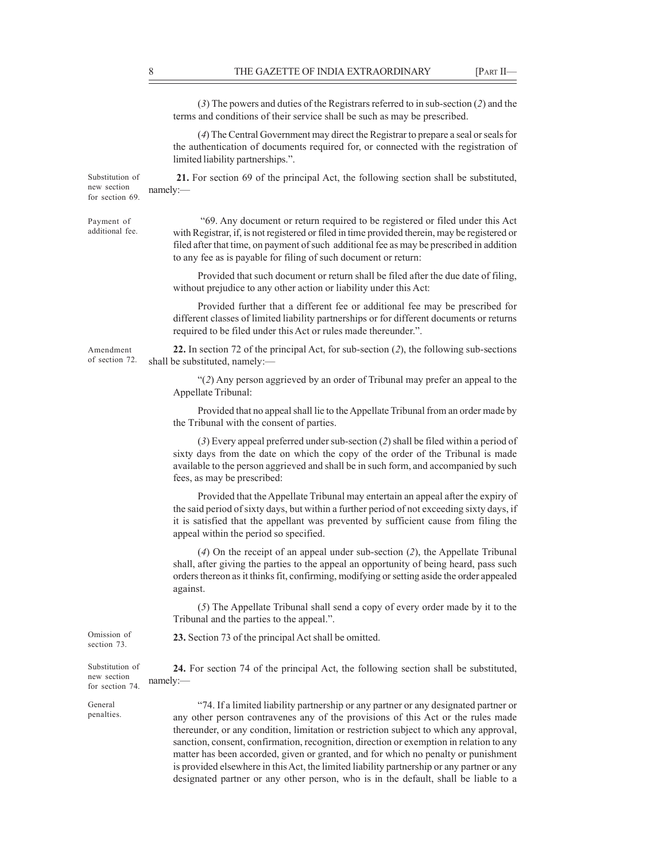THE GAZETTE OF INDIA EXTRAORDINARY [PART II—<br>(3) The powers and duties of the Registrars referred to in sub-section (2) and the<br>terms and conditions of their service shall be such as may be prescribed.<br>(4) The Central Gove (3) The powers and duties of the Registrars referred to in sub-section (2) and the terms and conditions of their service shall be such as may be prescribed. (4) The Central Government may direct the Registrar to prepare a seal or seals for the authentication of documents required for, or connected with the registration of limited liability partnerships.". Substitution of 21. For section 69 of the principal Act, the following section shall be substituted, namely:— example of the state of the state of the state of the state of the state of the state of the state of the state of the state of the state of the state of the state of the state of the state of the state of the sta 69. Any document or return required to be registered or filed under this Act Payment of additional fee. with Registrar, if, is not registered or filed in time provided therein, may be registered or filed after that time, on payment of such additional fee as may be prescribed in addition to any fee as is payable for filing of such document or return: Provided that such document or return shall be filed after the due date of filing, without prejudice to any other action or liability under this Act: Provided further that a different fee or additional fee may be prescribed for different classes of limited liability partnerships or for different documents or returns required to be filed under this Act or rules made thereunder.". Amendment 22. In section 72 of the principal Act, for sub-section (2), the following sub-sections of section 72. shall be substituted, namely:— (2) Any person aggrieved by an order of Tribunal may prefer an appeal to the Appellate Tribunal: Provided that no appeal shall lie to the Appellate Tribunal from an order made by the Tribunal with the consent of parties. (3) Every appeal preferred under sub-section (2) shall be filed within a period of sixty days from the date on which the copy of the order of the Tribunal is made available to the person aggrieved and shall be in such form, and accompanied by such fees, as may be prescribed: Provided that the Appellate Tribunal may entertain an appeal after the expiry of the said period of sixty days, but within a further period of not exceeding sixty days, if it is satisfied that the appellant was prevented by sufficient cause from filing the appeal within the period so specified. (4) On the receipt of an appeal under sub-section (2), the Appellate Tribunal shall, after giving the parties to the appeal an opportunity of being heard, pass such orders thereon as it thinks fit, confirming, modifying or setting aside the order appealed against. (5) The Appellate Tribunal shall send a copy of every order made by it to the Tribunal and the parties to the appeal.". Omission of 23. Section 73 of the principal Act shall be omitted. Substitution of **24.** For section 74 of the principal Act, the following section shall be substituted, namely: 74. If a limited liability partnership or any partner or any designated partner or any other person contravenes any of the provisions of this Act or the rules made thereunder, or any condition, limitation or restriction subject to which any approval, sanction, consent, confirmation, recognition, direction or exemption in relation to any matter has been accorded, given or granted, and for which no penalty or punishment is provided elsewhere in this Act, the limited liability partnership or any partner or any designated partner or any other person, who is in the default, shall be liable to a new section namely:for section 69. section 73. new section for section 74. General penalties.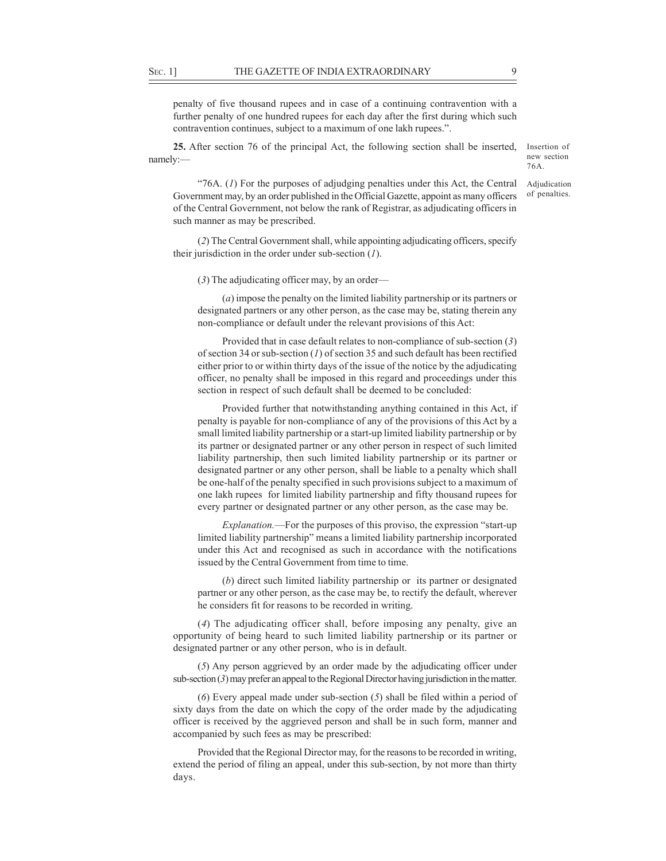SEC. 1] THE GAZETTE OF INDIA EXTRAORDINARY 99<br>
penalty of five thousand rupees and in case of a continuing contravention with a<br>
further penalty of one hundred rupees for each day after the first during which such<br>
contrav penalty of five thousand rupees and in case of a continuing contravention with a further penalty of one hundred rupees for each day after the first during which such contravention continues, subject to a maximum of one lakh rupees.".

25. After section 76 of the principal Act, the following section shall be inserted, namely:— the contract of the contract of the contract of the contract of the contract of the contract of the contract of the contract of the contract of the contract of the contract of the contract of the contract of the c

Insertion of new section 76A. Adjudication

of penalties.

"76A.  $(I)$  For the purposes of adjudging penalties under this Act, the Central Government may, by an order published in the Official Gazette, appoint as many officers of the Central Government, not below the rank of Registrar, as adjudicating officers in such manner as may be prescribed.

(2) The Central Government shall, while appointing adjudicating officers, specify their jurisdiction in the order under sub-section  $(1)$ .

(3) The adjudicating officer may, by an order

(a) impose the penalty on the limited liability partnership or its partners or designated partners or any other person, as the case may be, stating therein any non-compliance or default under the relevant provisions of this Act:

Provided that in case default relates to non-compliance of sub-section (3) of section 34 or sub-section  $(I)$  of section 35 and such default has been rectified either prior to or within thirty days of the issue of the notice by the adjudicating officer, no penalty shall be imposed in this regard and proceedings under this section in respect of such default shall be deemed to be concluded:

Provided further that notwithstanding anything contained in this Act, if penalty is payable for non-compliance of any of the provisions of this Act by a small limited liability partnership or a start-up limited liability partnership or by its partner or designated partner or any other person in respect of such limited liability partnership, then such limited liability partnership or its partner or designated partner or any other person, shall be liable to a penalty which shall be one-half of the penalty specified in such provisions subject to a maximum of one lakh rupees for limited liability partnership and fifty thousand rupees for every partner or designated partner or any other person, as the case may be.

Explanation.—For the purposes of this proviso, the expression "start-up limited liability partnership" means a limited liability partnership incorporated under this Act and recognised as such in accordance with the notifications issued by the Central Government from time to time.

(b) direct such limited liability partnership or its partner or designated partner or any other person, as the case may be, to rectify the default, wherever he considers fit for reasons to be recorded in writing.

(4) The adjudicating officer shall, before imposing any penalty, give an opportunity of being heard to such limited liability partnership or its partner or designated partner or any other person, who is in default.

(5) Any person aggrieved by an order made by the adjudicating officer under sub-section (3) may prefer an appeal to the Regional Director having jurisdiction in the matter.

(6) Every appeal made under sub-section (5) shall be filed within a period of sixty days from the date on which the copy of the order made by the adjudicating officer is received by the aggrieved person and shall be in such form, manner and accompanied by such fees as may be prescribed:

Provided that the Regional Director may, for the reasons to be recorded in writing, extend the period of filing an appeal, under this sub-section, by not more than thirty days.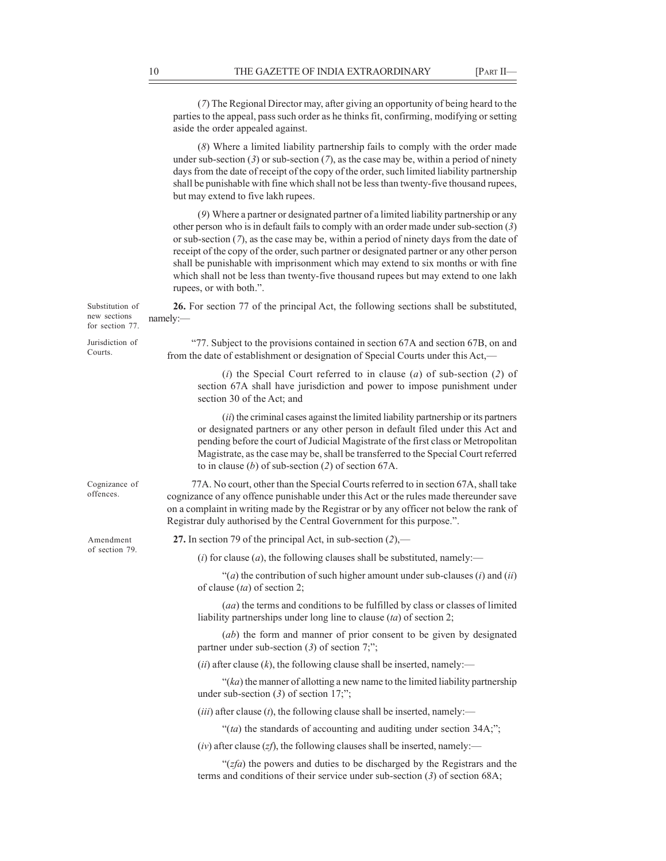|                                                    | 10<br>THE GAZETTE OF INDIA EXTRAORDINARY                                                                                                                                                                                                                                                                                                                                                                                                                                                                                                                                          | [PART II- |
|----------------------------------------------------|-----------------------------------------------------------------------------------------------------------------------------------------------------------------------------------------------------------------------------------------------------------------------------------------------------------------------------------------------------------------------------------------------------------------------------------------------------------------------------------------------------------------------------------------------------------------------------------|-----------|
|                                                    | (7) The Regional Director may, after giving an opportunity of being heard to the<br>parties to the appeal, pass such order as he thinks fit, confirming, modifying or setting<br>aside the order appealed against.                                                                                                                                                                                                                                                                                                                                                                |           |
|                                                    | (8) Where a limited liability partnership fails to comply with the order made<br>under sub-section $(3)$ or sub-section $(7)$ , as the case may be, within a period of ninety<br>days from the date of receipt of the copy of the order, such limited liability partnership<br>shall be punishable with fine which shall not be less than twenty-five thousand rupees,<br>but may extend to five lakh rupees.                                                                                                                                                                     |           |
|                                                    | (9) Where a partner or designated partner of a limited liability partnership or any<br>other person who is in default fails to comply with an order made under sub-section $(3)$<br>or sub-section $(7)$ , as the case may be, within a period of ninety days from the date of<br>receipt of the copy of the order, such partner or designated partner or any other person<br>shall be punishable with imprisonment which may extend to six months or with fine<br>which shall not be less than twenty-five thousand rupees but may extend to one lakh<br>rupees, or with both.". |           |
| Substitution of<br>new sections<br>for section 77. | 26. For section 77 of the principal Act, the following sections shall be substituted,<br>namely:                                                                                                                                                                                                                                                                                                                                                                                                                                                                                  |           |
| Jurisdiction of<br>Courts.                         | "77. Subject to the provisions contained in section 67A and section 67B, on and<br>from the date of establishment or designation of Special Courts under this Act,—                                                                                                                                                                                                                                                                                                                                                                                                               |           |
|                                                    | (i) the Special Court referred to in clause (a) of sub-section (2) of<br>section 67A shall have jurisdiction and power to impose punishment under<br>section 30 of the Act; and                                                                                                                                                                                                                                                                                                                                                                                                   |           |
|                                                    | $(ii)$ the criminal cases against the limited liability partnership or its partners<br>or designated partners or any other person in default filed under this Act and<br>pending before the court of Judicial Magistrate of the first class or Metropolitan<br>Magistrate, as the case may be, shall be transferred to the Special Court referred<br>to in clause (b) of sub-section (2) of section 67A.                                                                                                                                                                          |           |
| Cognizance of<br>offences.                         | 77A. No court, other than the Special Courts referred to in section 67A, shall take<br>cognizance of any offence punishable under this Act or the rules made thereunder save<br>on a complaint in writing made by the Registrar or by any officer not below the rank of<br>Registrar duly authorised by the Central Government for this purpose.".                                                                                                                                                                                                                                |           |
| Amendment<br>of section 79.                        | 27. In section 79 of the principal Act, in sub-section $(2)$ ,—                                                                                                                                                                                                                                                                                                                                                                                                                                                                                                                   |           |
|                                                    | ( <i>i</i> ) for clause ( <i>a</i> ), the following clauses shall be substituted, namely:—                                                                                                                                                                                                                                                                                                                                                                                                                                                                                        |           |
|                                                    | "(a) the contribution of such higher amount under sub-clauses $(i)$ and $(ii)$<br>of clause $(ta)$ of section 2;                                                                                                                                                                                                                                                                                                                                                                                                                                                                  |           |
|                                                    | (aa) the terms and conditions to be fulfilled by class or classes of limited<br>liability partnerships under long line to clause $(ta)$ of section 2;                                                                                                                                                                                                                                                                                                                                                                                                                             |           |
|                                                    | $(ab)$ the form and manner of prior consent to be given by designated<br>partner under sub-section $(3)$ of section 7;";                                                                                                                                                                                                                                                                                                                                                                                                                                                          |           |
|                                                    | (ii) after clause (k), the following clause shall be inserted, namely:—                                                                                                                                                                                                                                                                                                                                                                                                                                                                                                           |           |
|                                                    | " $(ka)$ the manner of allotting a new name to the limited liability partnership<br>under sub-section $(3)$ of section 17;";                                                                                                                                                                                                                                                                                                                                                                                                                                                      |           |
|                                                    | ( <i>iii</i> ) after clause ( <i>t</i> ), the following clause shall be inserted, namely:—                                                                                                                                                                                                                                                                                                                                                                                                                                                                                        |           |
|                                                    | "(ta) the standards of accounting and auditing under section 34A;";                                                                                                                                                                                                                                                                                                                                                                                                                                                                                                               |           |
|                                                    | $(iv)$ after clause (zf), the following clauses shall be inserted, namely:—                                                                                                                                                                                                                                                                                                                                                                                                                                                                                                       |           |
|                                                    | " $(zfa)$ the powers and duties to be discharged by the Registrars and the<br>terms and conditions of their service under sub-section $(3)$ of section 68A;                                                                                                                                                                                                                                                                                                                                                                                                                       |           |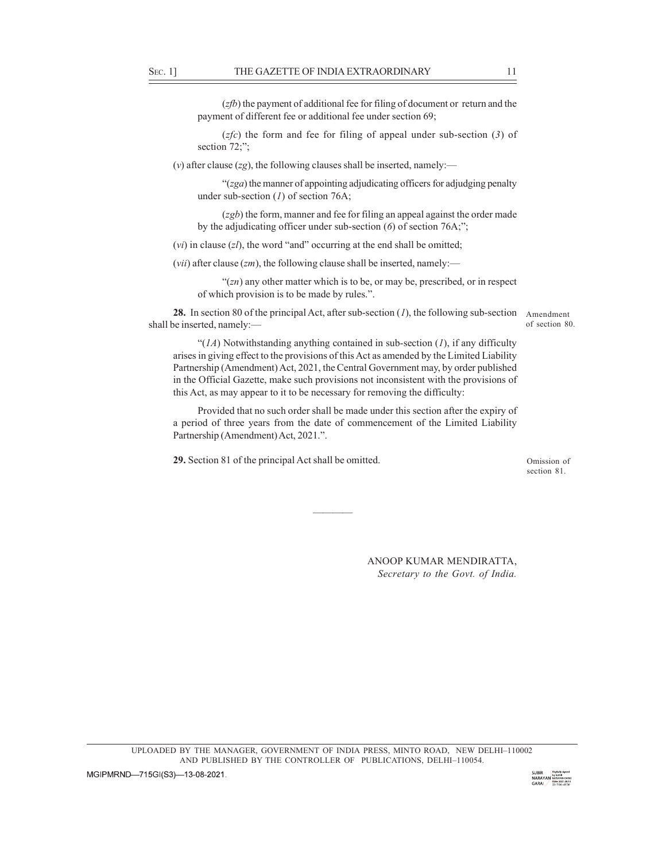SEC. 1] THE GAZETTE OF INDIA EXTRAORDINARY 11<br>
(*zfb*) the payment of additional fee for filing of document or return and the payment of different fee or additional fee under section 69;<br>
(*zfc*) the form and fee for fili  $(zfb)$  the payment of additional fee for filing of document or return and the payment of different fee or additional fee under section 69;

 $(zfc)$  the form and fee for filing of appeal under sub-section (3) of section  $72$ ;":

(v) after clause (zg), the following clauses shall be inserted, namely:—

 $\degree$ (*zga*) the manner of appointing adjudicating officers for adjudging penalty under sub-section  $(I)$  of section 76A;

 $(zgb)$  the form, manner and fee for filing an appeal against the order made by the adjudicating officer under sub-section  $(6)$  of section 76A;";

(*vi*) in clause  $(zl)$ , the word "and" occurring at the end shall be omitted;

(*vii*) after clause (*zm*), the following clause shall be inserted, namely:—

 $((zn)$  any other matter which is to be, or may be, prescribed, or in respect of which provision is to be made by rules.".

**28.** In section 80 of the principal Act, after sub-section  $(I)$ , the following sub-section Amendment shall be inserted, namely:

of section 80.

" $(1A)$  Notwithstanding anything contained in sub-section  $(1)$ , if any difficulty arises in giving effect to the provisions of this Act as amended by the Limited Liability Partnership (Amendment) Act, 2021, the Central Government may, by order published in the Official Gazette, make such provisions not inconsistent with the provisions of this Act, as may appear to it to be necessary for removing the difficulty:

Provided that no such order shall be made under this section after the expiry of a period of three years from the date of commencement of the Limited Liability Partnership (Amendment) Act, 2021.".

29. Section 81 of the principal Act shall be omitted.

Omission of section 81.

<u> Andreas Andreas Andreas Andreas Andreas Andreas Andreas Andreas Andreas Andreas Andreas Andreas Andreas Andr</u>

ANOOP KUMAR MENDIRATTA, Secretary to the Govt. of India.

UPLOADED BY THE MANAGER, GOVERNMENT OF INDIA PRESS, MINTO ROAD. NEW DELHI-110002 AND PUBLISHED BY THE CONTROLLER OF PUBLICATIONS, DELHI-110054.

MGIPMRND-715GI(S3)-13-08-2021.